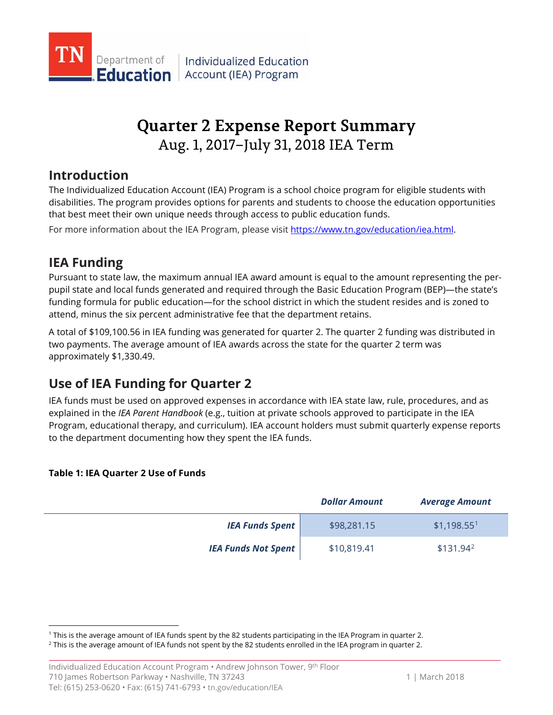

# **Quarter 2 Expense Report Summary** Aug. 1, 2017–July 31, 2018 IEA Term

## **Introduction**

The Individualized Education Account (IEA) Program is a school choice program for eligible students with disabilities. The program provides options for parents and students to choose the education opportunities that best meet their own unique needs through access to public education funds.

For more information about the IEA Program, please visit [https://www.tn.gov/education/iea.html.](https://www.tn.gov/education/iea.html)

# **IEA Funding**

Pursuant to state law, the maximum annual IEA award amount is equal to the amount representing the perpupil state and local funds generated and required through the Basic Education Program (BEP)—the state's funding formula for public education—for the school district in which the student resides and is zoned to attend, minus the six percent administrative fee that the department retains.

A total of \$109,100.56 in IEA funding was generated for quarter 2. The quarter 2 funding was distributed in two payments. The average amount of IEA awards across the state for the quarter 2 term was approximately \$1,330.49.

# **Use of IEA Funding for Quarter 2**

IEA funds must be used on approved expenses in accordance with IEA state law, rule, procedures, and as explained in the *IEA Parent Handbook* (e.g., tuition at private schools approved to participate in the IEA Program, educational therapy, and curriculum). IEA account holders must submit quarterly expense reports to the department documenting how they spent the IEA funds.

### **Table 1: IEA Quarter 2 Use of Funds**

 $\overline{a}$ 

|                            | <b>Dollar Amount</b> | <b>Average Amount</b>   |
|----------------------------|----------------------|-------------------------|
| <b>IEA Funds Spent</b>     | \$98,281.15          | \$1,198.55 <sup>1</sup> |
| <b>IEA Funds Not Spent</b> | \$10,819.41          | $$131.94^2$             |

<span id="page-0-1"></span><span id="page-0-0"></span><sup>&</sup>lt;sup>1</sup> This is the average amount of IEA funds spent by the 82 students participating in the IEA Program in quarter 2.<br><sup>2</sup> This is the average amount of IEA funds not spent by the 82 students enrolled in the IEA program in q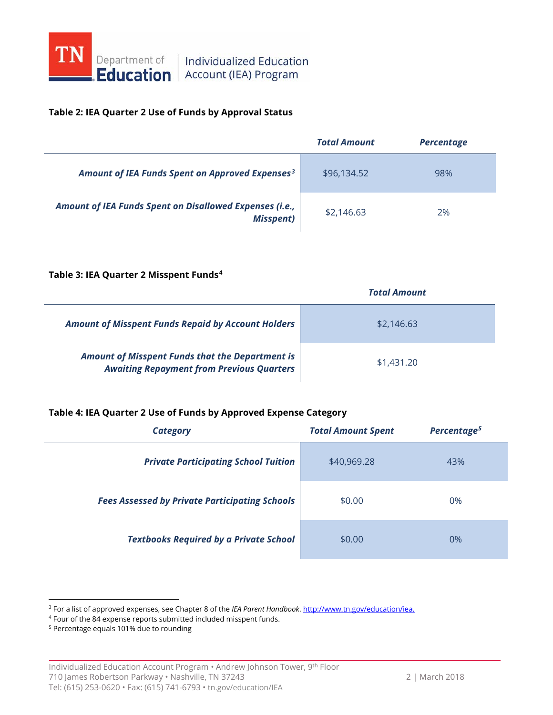

# **Education** Account (IEA) Program

### **Table 2: IEA Quarter 2 Use of Funds by Approval Status**

|                                                                             | <b>Total Amount</b> | <b>Percentage</b> |
|-----------------------------------------------------------------------------|---------------------|-------------------|
| Amount of IEA Funds Spent on Approved Expenses <sup>3</sup>                 | \$96,134.52         | 98%               |
| Amount of IEA Funds Spent on Disallowed Expenses (i.e.,<br><b>Misspent)</b> | \$2,146.63          | 2%                |

#### **Table 3: IEA Quarter 2 Misspent Funds[4](#page-1-1)**

|                                                                                                            | <b>Total Amount</b> |
|------------------------------------------------------------------------------------------------------------|---------------------|
| <b>Amount of Misspent Funds Repaid by Account Holders</b>                                                  | \$2,146.63          |
| <b>Amount of Misspent Funds that the Department is</b><br><b>Awaiting Repayment from Previous Quarters</b> | \$1,431,20          |

### **Table 4: IEA Quarter 2 Use of Funds by Approved Expense Category**

| <b>Category</b>                                       | <b>Total Amount Spent</b> | Percentage <sup>5</sup> |
|-------------------------------------------------------|---------------------------|-------------------------|
| <b>Private Participating School Tuition</b>           | \$40,969.28               | 43%                     |
| <b>Fees Assessed by Private Participating Schools</b> | \$0.00                    | 0%                      |
| <b>Textbooks Required by a Private School</b>         | \$0.00                    | 0%                      |

 $\overline{a}$ 

<span id="page-1-0"></span><sup>3</sup> For a list of approved expenses, see Chapter 8 of the *IEA Parent Handbook*[. http://www.tn.gov/education/iea.](http://www.tn.gov/education/iea)

<span id="page-1-1"></span><sup>4</sup> Four of the 84 expense reports submitted included misspent funds.

<span id="page-1-2"></span><sup>5</sup> Percentage equals 101% due to rounding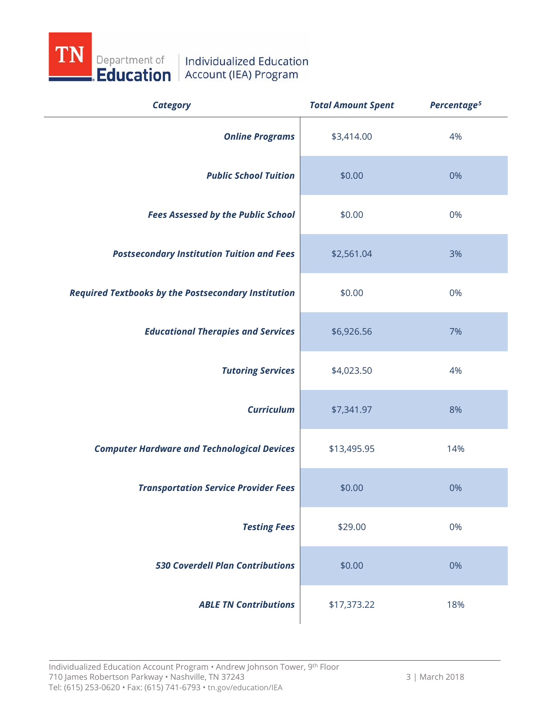

| <b>Category</b>                                            | <b>Total Amount Spent</b> | Percentage <sup>5</sup> |
|------------------------------------------------------------|---------------------------|-------------------------|
| <b>Online Programs</b>                                     | \$3,414.00                | 4%                      |
| <b>Public School Tuition</b>                               | \$0.00                    | 0%                      |
| <b>Fees Assessed by the Public School</b>                  | \$0.00                    | 0%                      |
| <b>Postsecondary Institution Tuition and Fees</b>          | \$2,561.04                | 3%                      |
| <b>Required Textbooks by the Postsecondary Institution</b> | \$0.00                    | 0%                      |
| <b>Educational Therapies and Services</b>                  | \$6,926.56                | 7%                      |
| <b>Tutoring Services</b>                                   | \$4,023.50                | 4%                      |
| <b>Curriculum</b>                                          | \$7,341.97                | 8%                      |
| <b>Computer Hardware and Technological Devices</b>         | \$13,495.95               | 14%                     |
| <b>Transportation Service Provider Fees</b>                | \$0.00                    | 0%                      |
| <b>Testing Fees</b>                                        | \$29.00                   | 0%                      |
| <b>530 Coverdell Plan Contributions</b>                    | \$0.00                    | 0%                      |
| <b>ABLE TN Contributions</b>                               | \$17,373.22               | 18%                     |